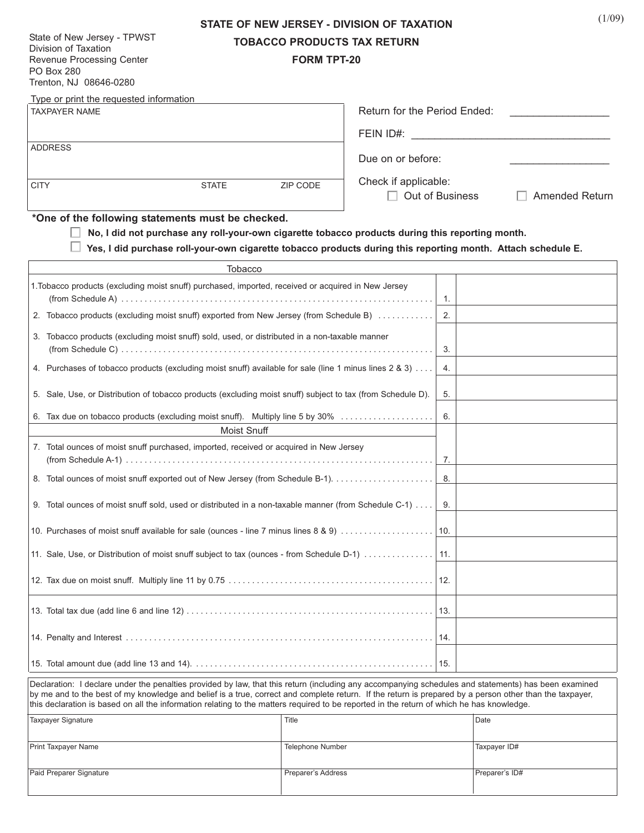| State of New Jersey - TPWST |  |  |  |
|-----------------------------|--|--|--|
| Division of Taxation        |  |  |  |
| Revenue Processing Center   |  |  |  |
| PO Box 280                  |  |  |  |
| Trenton, NJ 08646-0280      |  |  |  |

# **STATE OF NEW JERSEY - DIVISION OF TAXATION TOBACCO PRODUCTS TAX RETURN**

**FORM TPT-20**

| Type or print the requested information                                                                                                                                                                                                                                                                                                                                                                                                                      |                                          |  |  |  |
|--------------------------------------------------------------------------------------------------------------------------------------------------------------------------------------------------------------------------------------------------------------------------------------------------------------------------------------------------------------------------------------------------------------------------------------------------------------|------------------------------------------|--|--|--|
| <b>TAXPAYER NAME</b>                                                                                                                                                                                                                                                                                                                                                                                                                                         | Return for the Period Ended:             |  |  |  |
|                                                                                                                                                                                                                                                                                                                                                                                                                                                              | FEIN ID#:                                |  |  |  |
| <b>ADDRESS</b>                                                                                                                                                                                                                                                                                                                                                                                                                                               | Due on or before:                        |  |  |  |
|                                                                                                                                                                                                                                                                                                                                                                                                                                                              | Check if applicable:                     |  |  |  |
| <b>CITY</b><br><b>STATE</b><br>ZIP CODE                                                                                                                                                                                                                                                                                                                                                                                                                      | Out of Business<br><b>Amended Return</b> |  |  |  |
| *One of the following statements must be checked.                                                                                                                                                                                                                                                                                                                                                                                                            |                                          |  |  |  |
| No, I did not purchase any roll-your-own cigarette tobacco products during this reporting month.<br>Yes, I did purchase roll-your-own cigarette tobacco products during this reporting month. Attach schedule E.                                                                                                                                                                                                                                             |                                          |  |  |  |
|                                                                                                                                                                                                                                                                                                                                                                                                                                                              |                                          |  |  |  |
| 1. Tobacco products (excluding moist snuff) purchased, imported, received or acquired in New Jersey                                                                                                                                                                                                                                                                                                                                                          |                                          |  |  |  |
|                                                                                                                                                                                                                                                                                                                                                                                                                                                              |                                          |  |  |  |
| 2. Tobacco products (excluding moist snuff) exported from New Jersey (from Schedule B)                                                                                                                                                                                                                                                                                                                                                                       | 2.                                       |  |  |  |
| 3. Tobacco products (excluding moist snuff) sold, used, or distributed in a non-taxable manner                                                                                                                                                                                                                                                                                                                                                               | 3.                                       |  |  |  |
| 4. Purchases of tobacco products (excluding moist snuff) available for sale (line 1 minus lines 2 & 3)                                                                                                                                                                                                                                                                                                                                                       | 4.                                       |  |  |  |
| 5. Sale, Use, or Distribution of tobacco products (excluding moist snuff) subject to tax (from Schedule D).                                                                                                                                                                                                                                                                                                                                                  | 5.                                       |  |  |  |
| 6. Tax due on tobacco products (excluding moist snuff). Multiply line 5 by 30%                                                                                                                                                                                                                                                                                                                                                                               | 6.                                       |  |  |  |
| Moist Snuff                                                                                                                                                                                                                                                                                                                                                                                                                                                  |                                          |  |  |  |
| 7. Total ounces of moist snuff purchased, imported, received or acquired in New Jersey                                                                                                                                                                                                                                                                                                                                                                       |                                          |  |  |  |
|                                                                                                                                                                                                                                                                                                                                                                                                                                                              |                                          |  |  |  |
| 8. Total ounces of moist snuff exported out of New Jersey (from Schedule B-1). 8.                                                                                                                                                                                                                                                                                                                                                                            |                                          |  |  |  |
| 9. Total ounces of moist snuff sold, used or distributed in a non-taxable manner (from Schedule C-1)                                                                                                                                                                                                                                                                                                                                                         | 9.                                       |  |  |  |
|                                                                                                                                                                                                                                                                                                                                                                                                                                                              |                                          |  |  |  |
| 11. Sale, Use, or Distribution of moist snuff subject to tax (ounces - from Schedule D-1)   11.                                                                                                                                                                                                                                                                                                                                                              |                                          |  |  |  |
|                                                                                                                                                                                                                                                                                                                                                                                                                                                              | 12.                                      |  |  |  |
|                                                                                                                                                                                                                                                                                                                                                                                                                                                              |                                          |  |  |  |
|                                                                                                                                                                                                                                                                                                                                                                                                                                                              | 14.                                      |  |  |  |
|                                                                                                                                                                                                                                                                                                                                                                                                                                                              | 15.                                      |  |  |  |
| Declaration: I declare under the penalties provided by law, that this return (including any accompanying schedules and statements) has been examined<br>by me and to the best of my knowledge and belief is a true, correct and complete return. If the return is prepared by a person other than the taxpayer,<br>this declaration is based on all the information relating to the matters required to be reported in the return of which he has knowledge. |                                          |  |  |  |

| Taxpayer Signature         | Title              | Date           |
|----------------------------|--------------------|----------------|
| <b>Print Taxpayer Name</b> | Telephone Number   | Taxpayer ID#   |
| Paid Preparer Signature    | Preparer's Address | Preparer's ID# |

 $(1/09)$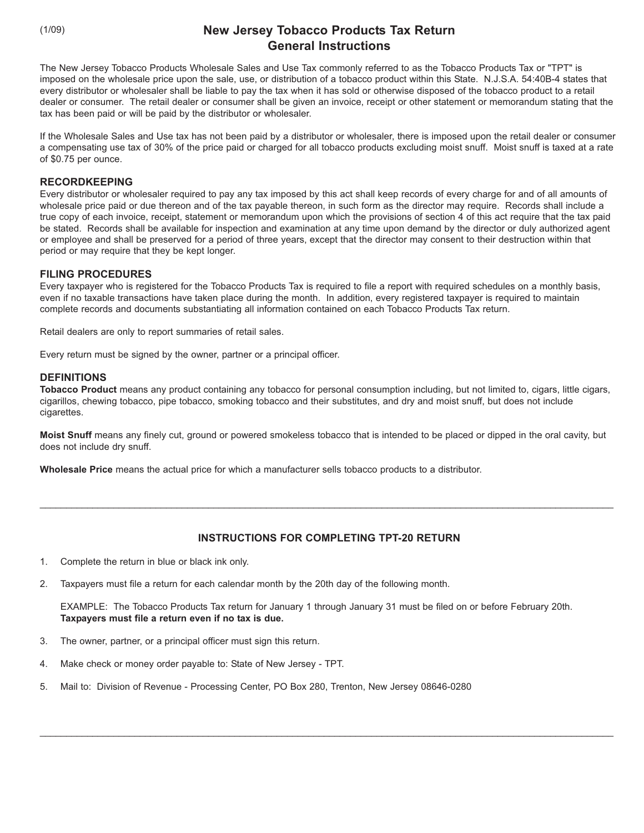(1/09)

# **New Jersey Tobacco Products Tax Return General Instructions**

The New Jersey Tobacco Products Wholesale Sales and Use Tax commonly referred to as the Tobacco Products Tax or "TPT" is imposed on the wholesale price upon the sale, use, or distribution of a tobacco product within this State. N.J.S.A. 54:40B-4 states that every distributor or wholesaler shall be liable to pay the tax when it has sold or otherwise disposed of the tobacco product to a retail dealer or consumer. The retail dealer or consumer shall be given an invoice, receipt or other statement or memorandum stating that the tax has been paid or will be paid by the distributor or wholesaler.

If the Wholesale Sales and Use tax has not been paid by a distributor or wholesaler, there is imposed upon the retail dealer or consumer a compensating use tax of 30% of the price paid or charged for all tobacco products excluding moist snuff. Moist snuff is taxed at a rate of \$0.75 per ounce.

### **RECORDKEEPING**

Every distributor or wholesaler required to pay any tax imposed by this act shall keep records of every charge for and of all amounts of wholesale price paid or due thereon and of the tax payable thereon, in such form as the director may require. Records shall include a true copy of each invoice, receipt, statement or memorandum upon which the provisions of section 4 of this act require that the tax paid be stated. Records shall be available for inspection and examination at any time upon demand by the director or duly authorized agent or employee and shall be preserved for a period of three years, except that the director may consent to their destruction within that period or may require that they be kept longer.

# **FILING PROCEDURES**

Every taxpayer who is registered for the Tobacco Products Tax is required to file a report with required schedules on a monthly basis, even if no taxable transactions have taken place during the month. In addition, every registered taxpayer is required to maintain complete records and documents substantiating all information contained on each Tobacco Products Tax return.

Retail dealers are only to report summaries of retail sales.

Every return must be signed by the owner, partner or a principal officer.

#### **DEFINITIONS**

**Tobacco Product** means any product containing any tobacco for personal consumption including, but not limited to, cigars, little cigars, cigarillos, chewing tobacco, pipe tobacco, smoking tobacco and their substitutes, and dry and moist snuff, but does not include cigarettes.

**Moist Snuff** means any finely cut, ground or powered smokeless tobacco that is intended to be placed or dipped in the oral cavity, but does not include dry snuff.

**Wholesale Price** means the actual price for which a manufacturer sells tobacco products to a distributor.

# **INSTRUCTIONS FOR COMPLETING TPT-20 RETURN**

\_\_\_\_\_\_\_\_\_\_\_\_\_\_\_\_\_\_\_\_\_\_\_\_\_\_\_\_\_\_\_\_\_\_\_\_\_\_\_\_\_\_\_\_\_\_\_\_\_\_\_\_\_\_\_\_\_\_\_\_\_\_\_\_\_\_\_\_\_\_\_\_\_\_\_\_\_\_\_\_\_\_\_\_\_\_\_\_\_\_\_\_\_\_\_\_\_\_\_\_\_\_\_\_\_\_\_\_\_

- 1. Complete the return in blue or black ink only.
- 2. Taxpayers must file a return for each calendar month by the 20th day of the following month.

EXAMPLE: The Tobacco Products Tax return for January 1 through January 31 must be filed on or before February 20th. **Taxpayers must file a return even if no tax is due.**

\_\_\_\_\_\_\_\_\_\_\_\_\_\_\_\_\_\_\_\_\_\_\_\_\_\_\_\_\_\_\_\_\_\_\_\_\_\_\_\_\_\_\_\_\_\_\_\_\_\_\_\_\_\_\_\_\_\_\_\_\_\_\_\_\_\_\_\_\_\_\_\_\_\_\_\_\_\_\_\_\_\_\_\_\_\_\_\_\_\_\_\_\_\_\_\_\_\_\_\_\_\_\_\_\_\_\_\_\_

- 3. The owner, partner, or a principal officer must sign this return.
- 4. Make check or money order payable to: State of New Jersey TPT.
- 5. Mail to: Division of Revenue Processing Center, PO Box 280, Trenton, New Jersey 08646-0280